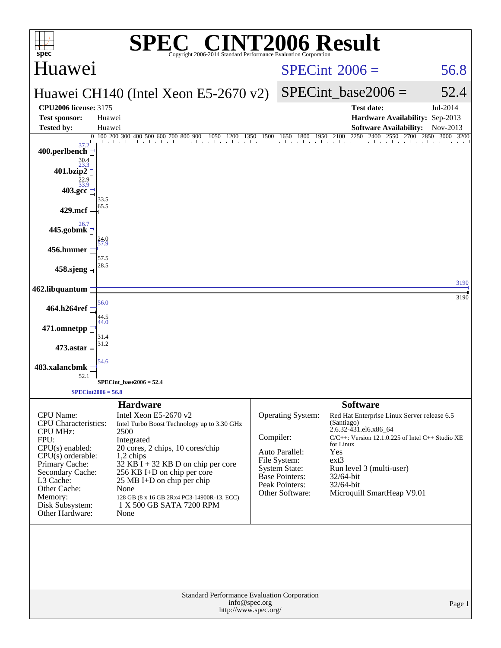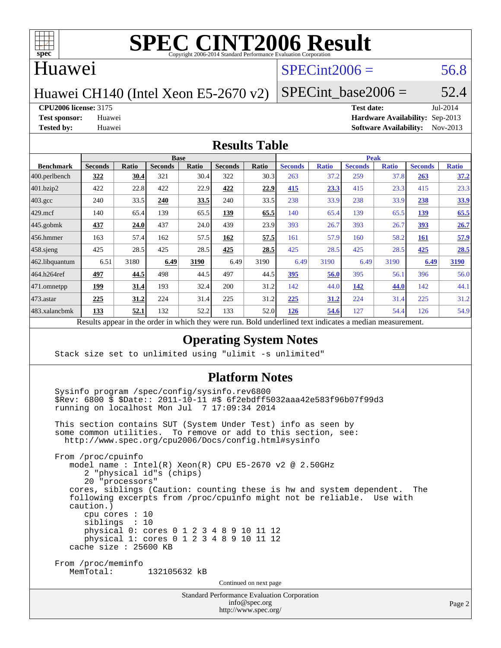

### Huawei

## $SPECint2006 = 56.8$  $SPECint2006 = 56.8$

Huawei CH140 (Intel Xeon E5-2670 v2)

SPECint base2006 =  $52.4$ 

**[CPU2006 license:](http://www.spec.org/auto/cpu2006/Docs/result-fields.html#CPU2006license)** 3175 **[Test date:](http://www.spec.org/auto/cpu2006/Docs/result-fields.html#Testdate)** Jul-2014

**[Test sponsor:](http://www.spec.org/auto/cpu2006/Docs/result-fields.html#Testsponsor)** Huawei **[Hardware Availability:](http://www.spec.org/auto/cpu2006/Docs/result-fields.html#HardwareAvailability)** Sep-2013 **[Tested by:](http://www.spec.org/auto/cpu2006/Docs/result-fields.html#Testedby)** Huawei **[Software Availability:](http://www.spec.org/auto/cpu2006/Docs/result-fields.html#SoftwareAvailability)** Nov-2013

#### **[Results Table](http://www.spec.org/auto/cpu2006/Docs/result-fields.html#ResultsTable)**

|                                                                                                           | <b>Base</b>    |       |                |       |                |       | <b>Peak</b>    |              |                |              |                |              |
|-----------------------------------------------------------------------------------------------------------|----------------|-------|----------------|-------|----------------|-------|----------------|--------------|----------------|--------------|----------------|--------------|
| <b>Benchmark</b>                                                                                          | <b>Seconds</b> | Ratio | <b>Seconds</b> | Ratio | <b>Seconds</b> | Ratio | <b>Seconds</b> | <b>Ratio</b> | <b>Seconds</b> | <b>Ratio</b> | <b>Seconds</b> | <b>Ratio</b> |
| 400.perlbench                                                                                             | 322            | 30.4  | 321            | 30.4  | 322            | 30.3  | 263            | 37.2         | 259            | 37.8         | 263            | 37.2         |
| 401.bzip2                                                                                                 | 422            | 22.8  | 422            | 22.9  | 422            | 22.9  | 415            | 23.3         | 415            | 23.3         | 415            | 23.3         |
| $403.\text{gcc}$                                                                                          | 240            | 33.5  | 240            | 33.5  | 240            | 33.5  | 238            | 33.9         | 238            | 33.9         | 238            | 33.9         |
| $429$ mcf                                                                                                 | 140            | 65.4  | 139            | 65.5  | 139            | 65.5  | 140            | 65.4         | 139            | 65.5         | 139            | 65.5         |
| $445$ .gobmk                                                                                              | 437            | 24.0  | 437            | 24.0  | 439            | 23.9  | 393            | 26.7         | 393            | 26.7         | 393            | 26.7         |
| 456.hmmer                                                                                                 | 163            | 57.4  | 162            | 57.5  | 162            | 57.5  | 161            | 57.9         | 160            | 58.2         | <b>161</b>     | 57.9         |
| $458$ .sjeng                                                                                              | 425            | 28.5  | 425            | 28.5  | 425            | 28.5  | 425            | 28.5         | 425            | 28.5         | 425            | 28.5         |
| 462.libquantum                                                                                            | 6.51           | 3180  | 6.49           | 3190  | 6.49           | 3190  | 6.49           | 3190         | 6.49           | 3190         | 6.49           | 3190         |
| 464.h264ref                                                                                               | 497            | 44.5  | 498            | 44.5  | 497            | 44.5  | 395            | 56.0         | 395            | 56.1         | 396            | 56.0         |
| 471.omnetpp                                                                                               | <u> 199</u>    | 31.4  | 193            | 32.4  | 200            | 31.2  | 142            | 44.0         | 142            | 44.0         | 142            | 44.1         |
| 473.astar                                                                                                 | 225            | 31.2  | 224            | 31.4  | 225            | 31.2  | 225            | 31.2         | 224            | 31.4         | 225            | 31.2         |
| 483.xalancbmk                                                                                             | 133            | 52.1  | 132            | 52.2  | 133            | 52.0  | 126            | 54.6         | 127            | 54.4         | 126            | 54.9         |
| Dold underlined text indicates a madien massurement<br>Decute concert in the order in which they were mun |                |       |                |       |                |       |                |              |                |              |                |              |

Results appear in the [order in which they were run.](http://www.spec.org/auto/cpu2006/Docs/result-fields.html#RunOrder) Bold underlined text [indicates a median measurement.](http://www.spec.org/auto/cpu2006/Docs/result-fields.html#Median)

#### **[Operating System Notes](http://www.spec.org/auto/cpu2006/Docs/result-fields.html#OperatingSystemNotes)**

Stack size set to unlimited using "ulimit -s unlimited"

#### **[Platform Notes](http://www.spec.org/auto/cpu2006/Docs/result-fields.html#PlatformNotes)**

 Sysinfo program /spec/config/sysinfo.rev6800 \$Rev: 6800 \$ \$Date:: 2011-10-11 #\$ 6f2ebdff5032aaa42e583f96b07f99d3 running on localhost Mon Jul 7 17:09:34 2014 This section contains SUT (System Under Test) info as seen by some common utilities. To remove or add to this section, see: <http://www.spec.org/cpu2006/Docs/config.html#sysinfo> From /proc/cpuinfo model name : Intel(R) Xeon(R) CPU E5-2670 v2 @ 2.50GHz 2 "physical id"s (chips) 20 "processors" cores, siblings (Caution: counting these is hw and system dependent. The following excerpts from /proc/cpuinfo might not be reliable. Use with caution.) cpu cores : 10 siblings : 10 physical 0: cores 0 1 2 3 4 8 9 10 11 12 physical 1: cores 0 1 2 3 4 8 9 10 11 12 cache size : 25600 KB From /proc/meminfo MemTotal: 132105632 kB Continued on next page

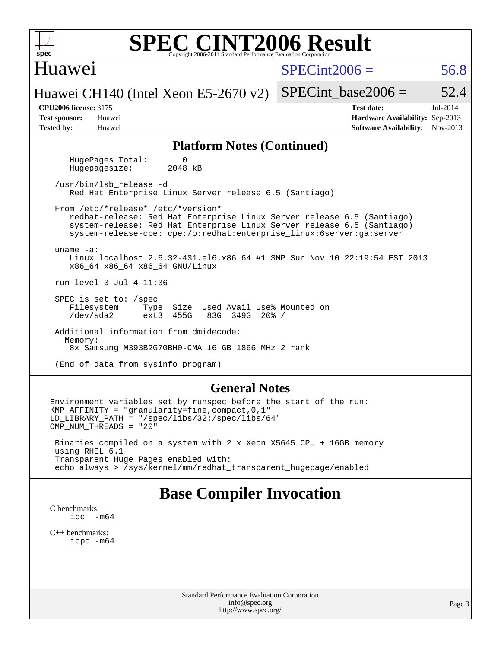| <b>SPEC CINT2006 Result</b><br>$spec^*$<br>Copyright 2006-2014 Standard Performance Evaluation Corporation                                                                                                                                                     |                                                                                                               |  |  |  |  |  |  |  |  |  |
|----------------------------------------------------------------------------------------------------------------------------------------------------------------------------------------------------------------------------------------------------------------|---------------------------------------------------------------------------------------------------------------|--|--|--|--|--|--|--|--|--|
| Huawei                                                                                                                                                                                                                                                         | $SPECint2006 =$<br>56.8                                                                                       |  |  |  |  |  |  |  |  |  |
| Huawei CH140 (Intel Xeon E5-2670 v2)                                                                                                                                                                                                                           | SPECint base2006 $=$<br>52.4                                                                                  |  |  |  |  |  |  |  |  |  |
| <b>CPU2006 license: 3175</b><br><b>Test sponsor:</b><br>Huawei<br><b>Tested by:</b><br>Huawei                                                                                                                                                                  | <b>Test date:</b><br>Jul-2014<br>Hardware Availability: Sep-2013<br><b>Software Availability:</b><br>Nov-2013 |  |  |  |  |  |  |  |  |  |
| <b>Platform Notes (Continued)</b>                                                                                                                                                                                                                              |                                                                                                               |  |  |  |  |  |  |  |  |  |
| $\Omega$<br>HugePages Total:<br>2048 kB<br>Hugepagesize:                                                                                                                                                                                                       |                                                                                                               |  |  |  |  |  |  |  |  |  |
| /usr/bin/lsb release -d<br>Red Hat Enterprise Linux Server release 6.5 (Santiago)                                                                                                                                                                              |                                                                                                               |  |  |  |  |  |  |  |  |  |
| From /etc/*release* /etc/*version*<br>redhat-release: Red Hat Enterprise Linux Server release 6.5 (Santiago)<br>system-release: Red Hat Enterprise Linux Server release 6.5 (Santiago)<br>system-release-cpe: cpe:/o:redhat:enterprise_linux:6server:ga:server |                                                                                                               |  |  |  |  |  |  |  |  |  |
| uname $-a$ :<br>Linux localhost 2.6.32-431.el6.x86_64 #1 SMP Sun Nov 10 22:19:54 EST 2013<br>x86_64 x86_64 x86_64 GNU/Linux                                                                                                                                    |                                                                                                               |  |  |  |  |  |  |  |  |  |
| run-level 3 Jul 4 11:36                                                                                                                                                                                                                                        |                                                                                                               |  |  |  |  |  |  |  |  |  |
| SPEC is set to: $/$ spec<br>Filesystem<br>Size Used Avail Use% Mounted on<br>Type<br>$/\text{dev/sda2}$<br>ext3 455G<br>83G 349G 20% /                                                                                                                         |                                                                                                               |  |  |  |  |  |  |  |  |  |
| Additional information from dmidecode:<br>Memory:<br>8x Samsung M393B2G70BH0-CMA 16 GB 1866 MHz 2 rank                                                                                                                                                         |                                                                                                               |  |  |  |  |  |  |  |  |  |
| (End of data from sysinfo program)                                                                                                                                                                                                                             |                                                                                                               |  |  |  |  |  |  |  |  |  |
| <b>General Notes</b>                                                                                                                                                                                                                                           |                                                                                                               |  |  |  |  |  |  |  |  |  |
| Environment variables set by runspec before the start of the run:<br>$KMP_AFFINITY = "granularity=fine, compact, 0, 1"$<br>$LD_LIBRARY_PATH = "/spec/libs/32://spec/libs/64"$<br>OMP NUM THREADS = "20"                                                        |                                                                                                               |  |  |  |  |  |  |  |  |  |

 Binaries compiled on a system with 2 x Xeon X5645 CPU + 16GB memory using RHEL 6.1 Transparent Huge Pages enabled with: echo always > /sys/kernel/mm/redhat\_transparent\_hugepage/enabled

# **[Base Compiler Invocation](http://www.spec.org/auto/cpu2006/Docs/result-fields.html#BaseCompilerInvocation)**

[C benchmarks](http://www.spec.org/auto/cpu2006/Docs/result-fields.html#Cbenchmarks): [icc -m64](http://www.spec.org/cpu2006/results/res2014q3/cpu2006-20140718-30513.flags.html#user_CCbase_intel_icc_64bit_f346026e86af2a669e726fe758c88044)

[C++ benchmarks:](http://www.spec.org/auto/cpu2006/Docs/result-fields.html#CXXbenchmarks) [icpc -m64](http://www.spec.org/cpu2006/results/res2014q3/cpu2006-20140718-30513.flags.html#user_CXXbase_intel_icpc_64bit_fc66a5337ce925472a5c54ad6a0de310)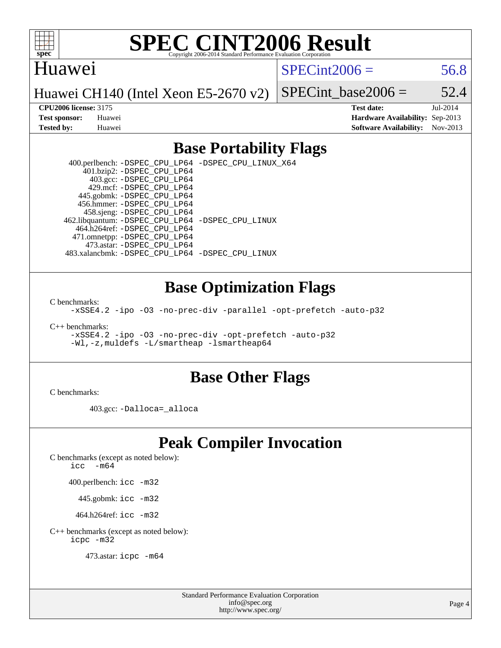

### Huawei

 $SPECint2006 = 56.8$  $SPECint2006 = 56.8$ 

Huawei CH140 (Intel Xeon E5-2670 v2)

SPECint base2006 =  $52.4$ 

**[CPU2006 license:](http://www.spec.org/auto/cpu2006/Docs/result-fields.html#CPU2006license)** 3175 **[Test date:](http://www.spec.org/auto/cpu2006/Docs/result-fields.html#Testdate)** Jul-2014 **[Test sponsor:](http://www.spec.org/auto/cpu2006/Docs/result-fields.html#Testsponsor)** Huawei **[Hardware Availability:](http://www.spec.org/auto/cpu2006/Docs/result-fields.html#HardwareAvailability)** Sep-2013 **[Tested by:](http://www.spec.org/auto/cpu2006/Docs/result-fields.html#Testedby)** Huawei **[Software Availability:](http://www.spec.org/auto/cpu2006/Docs/result-fields.html#SoftwareAvailability)** Nov-2013

## **[Base Portability Flags](http://www.spec.org/auto/cpu2006/Docs/result-fields.html#BasePortabilityFlags)**

 400.perlbench: [-DSPEC\\_CPU\\_LP64](http://www.spec.org/cpu2006/results/res2014q3/cpu2006-20140718-30513.flags.html#b400.perlbench_basePORTABILITY_DSPEC_CPU_LP64) [-DSPEC\\_CPU\\_LINUX\\_X64](http://www.spec.org/cpu2006/results/res2014q3/cpu2006-20140718-30513.flags.html#b400.perlbench_baseCPORTABILITY_DSPEC_CPU_LINUX_X64) 401.bzip2: [-DSPEC\\_CPU\\_LP64](http://www.spec.org/cpu2006/results/res2014q3/cpu2006-20140718-30513.flags.html#suite_basePORTABILITY401_bzip2_DSPEC_CPU_LP64) 403.gcc: [-DSPEC\\_CPU\\_LP64](http://www.spec.org/cpu2006/results/res2014q3/cpu2006-20140718-30513.flags.html#suite_basePORTABILITY403_gcc_DSPEC_CPU_LP64) 429.mcf: [-DSPEC\\_CPU\\_LP64](http://www.spec.org/cpu2006/results/res2014q3/cpu2006-20140718-30513.flags.html#suite_basePORTABILITY429_mcf_DSPEC_CPU_LP64) 445.gobmk: [-DSPEC\\_CPU\\_LP64](http://www.spec.org/cpu2006/results/res2014q3/cpu2006-20140718-30513.flags.html#suite_basePORTABILITY445_gobmk_DSPEC_CPU_LP64) 456.hmmer: [-DSPEC\\_CPU\\_LP64](http://www.spec.org/cpu2006/results/res2014q3/cpu2006-20140718-30513.flags.html#suite_basePORTABILITY456_hmmer_DSPEC_CPU_LP64) 458.sjeng: [-DSPEC\\_CPU\\_LP64](http://www.spec.org/cpu2006/results/res2014q3/cpu2006-20140718-30513.flags.html#suite_basePORTABILITY458_sjeng_DSPEC_CPU_LP64) 462.libquantum: [-DSPEC\\_CPU\\_LP64](http://www.spec.org/cpu2006/results/res2014q3/cpu2006-20140718-30513.flags.html#suite_basePORTABILITY462_libquantum_DSPEC_CPU_LP64) [-DSPEC\\_CPU\\_LINUX](http://www.spec.org/cpu2006/results/res2014q3/cpu2006-20140718-30513.flags.html#b462.libquantum_baseCPORTABILITY_DSPEC_CPU_LINUX) 464.h264ref: [-DSPEC\\_CPU\\_LP64](http://www.spec.org/cpu2006/results/res2014q3/cpu2006-20140718-30513.flags.html#suite_basePORTABILITY464_h264ref_DSPEC_CPU_LP64) 471.omnetpp: [-DSPEC\\_CPU\\_LP64](http://www.spec.org/cpu2006/results/res2014q3/cpu2006-20140718-30513.flags.html#suite_basePORTABILITY471_omnetpp_DSPEC_CPU_LP64) 473.astar: [-DSPEC\\_CPU\\_LP64](http://www.spec.org/cpu2006/results/res2014q3/cpu2006-20140718-30513.flags.html#suite_basePORTABILITY473_astar_DSPEC_CPU_LP64) 483.xalancbmk: [-DSPEC\\_CPU\\_LP64](http://www.spec.org/cpu2006/results/res2014q3/cpu2006-20140718-30513.flags.html#suite_basePORTABILITY483_xalancbmk_DSPEC_CPU_LP64) [-DSPEC\\_CPU\\_LINUX](http://www.spec.org/cpu2006/results/res2014q3/cpu2006-20140718-30513.flags.html#b483.xalancbmk_baseCXXPORTABILITY_DSPEC_CPU_LINUX)

### **[Base Optimization Flags](http://www.spec.org/auto/cpu2006/Docs/result-fields.html#BaseOptimizationFlags)**

[C benchmarks](http://www.spec.org/auto/cpu2006/Docs/result-fields.html#Cbenchmarks):

[-xSSE4.2](http://www.spec.org/cpu2006/results/res2014q3/cpu2006-20140718-30513.flags.html#user_CCbase_f-xSSE42_f91528193cf0b216347adb8b939d4107) [-ipo](http://www.spec.org/cpu2006/results/res2014q3/cpu2006-20140718-30513.flags.html#user_CCbase_f-ipo) [-O3](http://www.spec.org/cpu2006/results/res2014q3/cpu2006-20140718-30513.flags.html#user_CCbase_f-O3) [-no-prec-div](http://www.spec.org/cpu2006/results/res2014q3/cpu2006-20140718-30513.flags.html#user_CCbase_f-no-prec-div) [-parallel](http://www.spec.org/cpu2006/results/res2014q3/cpu2006-20140718-30513.flags.html#user_CCbase_f-parallel) [-opt-prefetch](http://www.spec.org/cpu2006/results/res2014q3/cpu2006-20140718-30513.flags.html#user_CCbase_f-opt-prefetch) [-auto-p32](http://www.spec.org/cpu2006/results/res2014q3/cpu2006-20140718-30513.flags.html#user_CCbase_f-auto-p32)

[C++ benchmarks:](http://www.spec.org/auto/cpu2006/Docs/result-fields.html#CXXbenchmarks)

[-xSSE4.2](http://www.spec.org/cpu2006/results/res2014q3/cpu2006-20140718-30513.flags.html#user_CXXbase_f-xSSE42_f91528193cf0b216347adb8b939d4107) [-ipo](http://www.spec.org/cpu2006/results/res2014q3/cpu2006-20140718-30513.flags.html#user_CXXbase_f-ipo) [-O3](http://www.spec.org/cpu2006/results/res2014q3/cpu2006-20140718-30513.flags.html#user_CXXbase_f-O3) [-no-prec-div](http://www.spec.org/cpu2006/results/res2014q3/cpu2006-20140718-30513.flags.html#user_CXXbase_f-no-prec-div) [-opt-prefetch](http://www.spec.org/cpu2006/results/res2014q3/cpu2006-20140718-30513.flags.html#user_CXXbase_f-opt-prefetch) [-auto-p32](http://www.spec.org/cpu2006/results/res2014q3/cpu2006-20140718-30513.flags.html#user_CXXbase_f-auto-p32) [-Wl,-z,muldefs](http://www.spec.org/cpu2006/results/res2014q3/cpu2006-20140718-30513.flags.html#user_CXXbase_link_force_multiple1_74079c344b956b9658436fd1b6dd3a8a) [-L/smartheap -lsmartheap64](http://www.spec.org/cpu2006/results/res2014q3/cpu2006-20140718-30513.flags.html#user_CXXbase_SmartHeap64_5e654037dadeae1fe403ab4b4466e60b)

#### **[Base Other Flags](http://www.spec.org/auto/cpu2006/Docs/result-fields.html#BaseOtherFlags)**

[C benchmarks](http://www.spec.org/auto/cpu2006/Docs/result-fields.html#Cbenchmarks):

403.gcc: [-Dalloca=\\_alloca](http://www.spec.org/cpu2006/results/res2014q3/cpu2006-20140718-30513.flags.html#b403.gcc_baseEXTRA_CFLAGS_Dalloca_be3056838c12de2578596ca5467af7f3)

# **[Peak Compiler Invocation](http://www.spec.org/auto/cpu2006/Docs/result-fields.html#PeakCompilerInvocation)**

[C benchmarks \(except as noted below\)](http://www.spec.org/auto/cpu2006/Docs/result-fields.html#Cbenchmarksexceptasnotedbelow):

[icc -m64](http://www.spec.org/cpu2006/results/res2014q3/cpu2006-20140718-30513.flags.html#user_CCpeak_intel_icc_64bit_f346026e86af2a669e726fe758c88044)

400.perlbench: [icc -m32](http://www.spec.org/cpu2006/results/res2014q3/cpu2006-20140718-30513.flags.html#user_peakCCLD400_perlbench_intel_icc_a6a621f8d50482236b970c6ac5f55f93)

445.gobmk: [icc -m32](http://www.spec.org/cpu2006/results/res2014q3/cpu2006-20140718-30513.flags.html#user_peakCCLD445_gobmk_intel_icc_a6a621f8d50482236b970c6ac5f55f93)

464.h264ref: [icc -m32](http://www.spec.org/cpu2006/results/res2014q3/cpu2006-20140718-30513.flags.html#user_peakCCLD464_h264ref_intel_icc_a6a621f8d50482236b970c6ac5f55f93)

[C++ benchmarks \(except as noted below\):](http://www.spec.org/auto/cpu2006/Docs/result-fields.html#CXXbenchmarksexceptasnotedbelow) [icpc -m32](http://www.spec.org/cpu2006/results/res2014q3/cpu2006-20140718-30513.flags.html#user_CXXpeak_intel_icpc_4e5a5ef1a53fd332b3c49e69c3330699)

473.astar: [icpc -m64](http://www.spec.org/cpu2006/results/res2014q3/cpu2006-20140718-30513.flags.html#user_peakCXXLD473_astar_intel_icpc_64bit_fc66a5337ce925472a5c54ad6a0de310)

Standard Performance Evaluation Corporation [info@spec.org](mailto:info@spec.org) <http://www.spec.org/>

Page 4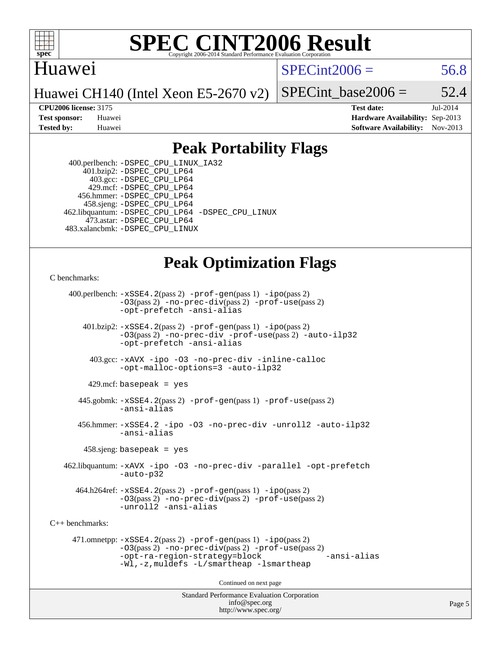

# Huawei

 $SPECint2006 = 56.8$  $SPECint2006 = 56.8$ 

Huawei CH140 (Intel Xeon E5-2670 v2)

SPECint base2006 =  $52.4$ 

**[CPU2006 license:](http://www.spec.org/auto/cpu2006/Docs/result-fields.html#CPU2006license)** 3175 **[Test date:](http://www.spec.org/auto/cpu2006/Docs/result-fields.html#Testdate)** Jul-2014 **[Test sponsor:](http://www.spec.org/auto/cpu2006/Docs/result-fields.html#Testsponsor)** Huawei **[Hardware Availability:](http://www.spec.org/auto/cpu2006/Docs/result-fields.html#HardwareAvailability)** Sep-2013 **[Tested by:](http://www.spec.org/auto/cpu2006/Docs/result-fields.html#Testedby)** Huawei **[Software Availability:](http://www.spec.org/auto/cpu2006/Docs/result-fields.html#SoftwareAvailability)** Nov-2013

# **[Peak Portability Flags](http://www.spec.org/auto/cpu2006/Docs/result-fields.html#PeakPortabilityFlags)**

 400.perlbench: [-DSPEC\\_CPU\\_LINUX\\_IA32](http://www.spec.org/cpu2006/results/res2014q3/cpu2006-20140718-30513.flags.html#b400.perlbench_peakCPORTABILITY_DSPEC_CPU_LINUX_IA32) 401.bzip2: [-DSPEC\\_CPU\\_LP64](http://www.spec.org/cpu2006/results/res2014q3/cpu2006-20140718-30513.flags.html#suite_peakPORTABILITY401_bzip2_DSPEC_CPU_LP64) 403.gcc: [-DSPEC\\_CPU\\_LP64](http://www.spec.org/cpu2006/results/res2014q3/cpu2006-20140718-30513.flags.html#suite_peakPORTABILITY403_gcc_DSPEC_CPU_LP64) 429.mcf: [-DSPEC\\_CPU\\_LP64](http://www.spec.org/cpu2006/results/res2014q3/cpu2006-20140718-30513.flags.html#suite_peakPORTABILITY429_mcf_DSPEC_CPU_LP64) 456.hmmer: [-DSPEC\\_CPU\\_LP64](http://www.spec.org/cpu2006/results/res2014q3/cpu2006-20140718-30513.flags.html#suite_peakPORTABILITY456_hmmer_DSPEC_CPU_LP64) 458.sjeng: [-DSPEC\\_CPU\\_LP64](http://www.spec.org/cpu2006/results/res2014q3/cpu2006-20140718-30513.flags.html#suite_peakPORTABILITY458_sjeng_DSPEC_CPU_LP64) 462.libquantum: [-DSPEC\\_CPU\\_LP64](http://www.spec.org/cpu2006/results/res2014q3/cpu2006-20140718-30513.flags.html#suite_peakPORTABILITY462_libquantum_DSPEC_CPU_LP64) [-DSPEC\\_CPU\\_LINUX](http://www.spec.org/cpu2006/results/res2014q3/cpu2006-20140718-30513.flags.html#b462.libquantum_peakCPORTABILITY_DSPEC_CPU_LINUX) 473.astar: [-DSPEC\\_CPU\\_LP64](http://www.spec.org/cpu2006/results/res2014q3/cpu2006-20140718-30513.flags.html#suite_peakPORTABILITY473_astar_DSPEC_CPU_LP64) 483.xalancbmk: [-DSPEC\\_CPU\\_LINUX](http://www.spec.org/cpu2006/results/res2014q3/cpu2006-20140718-30513.flags.html#b483.xalancbmk_peakCXXPORTABILITY_DSPEC_CPU_LINUX)

# **[Peak Optimization Flags](http://www.spec.org/auto/cpu2006/Docs/result-fields.html#PeakOptimizationFlags)**

[C benchmarks](http://www.spec.org/auto/cpu2006/Docs/result-fields.html#Cbenchmarks):

 400.perlbench: [-xSSE4.2](http://www.spec.org/cpu2006/results/res2014q3/cpu2006-20140718-30513.flags.html#user_peakPASS2_CFLAGSPASS2_LDCFLAGS400_perlbench_f-xSSE42_f91528193cf0b216347adb8b939d4107)(pass 2) [-prof-gen](http://www.spec.org/cpu2006/results/res2014q3/cpu2006-20140718-30513.flags.html#user_peakPASS1_CFLAGSPASS1_LDCFLAGS400_perlbench_prof_gen_e43856698f6ca7b7e442dfd80e94a8fc)(pass 1) [-ipo](http://www.spec.org/cpu2006/results/res2014q3/cpu2006-20140718-30513.flags.html#user_peakPASS2_CFLAGSPASS2_LDCFLAGS400_perlbench_f-ipo)(pass 2) [-O3](http://www.spec.org/cpu2006/results/res2014q3/cpu2006-20140718-30513.flags.html#user_peakPASS2_CFLAGSPASS2_LDCFLAGS400_perlbench_f-O3)(pass 2) [-no-prec-div](http://www.spec.org/cpu2006/results/res2014q3/cpu2006-20140718-30513.flags.html#user_peakPASS2_CFLAGSPASS2_LDCFLAGS400_perlbench_f-no-prec-div)(pass 2) [-prof-use](http://www.spec.org/cpu2006/results/res2014q3/cpu2006-20140718-30513.flags.html#user_peakPASS2_CFLAGSPASS2_LDCFLAGS400_perlbench_prof_use_bccf7792157ff70d64e32fe3e1250b55)(pass 2) [-opt-prefetch](http://www.spec.org/cpu2006/results/res2014q3/cpu2006-20140718-30513.flags.html#user_peakCOPTIMIZE400_perlbench_f-opt-prefetch) [-ansi-alias](http://www.spec.org/cpu2006/results/res2014q3/cpu2006-20140718-30513.flags.html#user_peakCOPTIMIZE400_perlbench_f-ansi-alias) 401.bzip2: [-xSSE4.2](http://www.spec.org/cpu2006/results/res2014q3/cpu2006-20140718-30513.flags.html#user_peakPASS2_CFLAGSPASS2_LDCFLAGS401_bzip2_f-xSSE42_f91528193cf0b216347adb8b939d4107)(pass 2) [-prof-gen](http://www.spec.org/cpu2006/results/res2014q3/cpu2006-20140718-30513.flags.html#user_peakPASS1_CFLAGSPASS1_LDCFLAGS401_bzip2_prof_gen_e43856698f6ca7b7e442dfd80e94a8fc)(pass 1) [-ipo](http://www.spec.org/cpu2006/results/res2014q3/cpu2006-20140718-30513.flags.html#user_peakPASS2_CFLAGSPASS2_LDCFLAGS401_bzip2_f-ipo)(pass 2) [-O3](http://www.spec.org/cpu2006/results/res2014q3/cpu2006-20140718-30513.flags.html#user_peakPASS2_CFLAGSPASS2_LDCFLAGS401_bzip2_f-O3)(pass 2) [-no-prec-div](http://www.spec.org/cpu2006/results/res2014q3/cpu2006-20140718-30513.flags.html#user_peakCOPTIMIZEPASS2_CFLAGSPASS2_LDCFLAGS401_bzip2_f-no-prec-div) [-prof-use](http://www.spec.org/cpu2006/results/res2014q3/cpu2006-20140718-30513.flags.html#user_peakPASS2_CFLAGSPASS2_LDCFLAGS401_bzip2_prof_use_bccf7792157ff70d64e32fe3e1250b55)(pass 2) [-auto-ilp32](http://www.spec.org/cpu2006/results/res2014q3/cpu2006-20140718-30513.flags.html#user_peakCOPTIMIZE401_bzip2_f-auto-ilp32) [-opt-prefetch](http://www.spec.org/cpu2006/results/res2014q3/cpu2006-20140718-30513.flags.html#user_peakCOPTIMIZE401_bzip2_f-opt-prefetch) [-ansi-alias](http://www.spec.org/cpu2006/results/res2014q3/cpu2006-20140718-30513.flags.html#user_peakCOPTIMIZE401_bzip2_f-ansi-alias) 403.gcc: [-xAVX](http://www.spec.org/cpu2006/results/res2014q3/cpu2006-20140718-30513.flags.html#user_peakCOPTIMIZE403_gcc_f-xAVX) [-ipo](http://www.spec.org/cpu2006/results/res2014q3/cpu2006-20140718-30513.flags.html#user_peakCOPTIMIZE403_gcc_f-ipo) [-O3](http://www.spec.org/cpu2006/results/res2014q3/cpu2006-20140718-30513.flags.html#user_peakCOPTIMIZE403_gcc_f-O3) [-no-prec-div](http://www.spec.org/cpu2006/results/res2014q3/cpu2006-20140718-30513.flags.html#user_peakCOPTIMIZE403_gcc_f-no-prec-div) [-inline-calloc](http://www.spec.org/cpu2006/results/res2014q3/cpu2006-20140718-30513.flags.html#user_peakCOPTIMIZE403_gcc_f-inline-calloc) [-opt-malloc-options=3](http://www.spec.org/cpu2006/results/res2014q3/cpu2006-20140718-30513.flags.html#user_peakCOPTIMIZE403_gcc_f-opt-malloc-options_13ab9b803cf986b4ee62f0a5998c2238) [-auto-ilp32](http://www.spec.org/cpu2006/results/res2014q3/cpu2006-20140718-30513.flags.html#user_peakCOPTIMIZE403_gcc_f-auto-ilp32)  $429$ .mcf: basepeak = yes 445.gobmk: [-xSSE4.2](http://www.spec.org/cpu2006/results/res2014q3/cpu2006-20140718-30513.flags.html#user_peakPASS2_CFLAGSPASS2_LDCFLAGS445_gobmk_f-xSSE42_f91528193cf0b216347adb8b939d4107)(pass 2) [-prof-gen](http://www.spec.org/cpu2006/results/res2014q3/cpu2006-20140718-30513.flags.html#user_peakPASS1_CFLAGSPASS1_LDCFLAGS445_gobmk_prof_gen_e43856698f6ca7b7e442dfd80e94a8fc)(pass 1) [-prof-use](http://www.spec.org/cpu2006/results/res2014q3/cpu2006-20140718-30513.flags.html#user_peakPASS2_CFLAGSPASS2_LDCFLAGS445_gobmk_prof_use_bccf7792157ff70d64e32fe3e1250b55)(pass 2) [-ansi-alias](http://www.spec.org/cpu2006/results/res2014q3/cpu2006-20140718-30513.flags.html#user_peakCOPTIMIZE445_gobmk_f-ansi-alias) 456.hmmer: [-xSSE4.2](http://www.spec.org/cpu2006/results/res2014q3/cpu2006-20140718-30513.flags.html#user_peakCOPTIMIZE456_hmmer_f-xSSE42_f91528193cf0b216347adb8b939d4107) [-ipo](http://www.spec.org/cpu2006/results/res2014q3/cpu2006-20140718-30513.flags.html#user_peakCOPTIMIZE456_hmmer_f-ipo) [-O3](http://www.spec.org/cpu2006/results/res2014q3/cpu2006-20140718-30513.flags.html#user_peakCOPTIMIZE456_hmmer_f-O3) [-no-prec-div](http://www.spec.org/cpu2006/results/res2014q3/cpu2006-20140718-30513.flags.html#user_peakCOPTIMIZE456_hmmer_f-no-prec-div) [-unroll2](http://www.spec.org/cpu2006/results/res2014q3/cpu2006-20140718-30513.flags.html#user_peakCOPTIMIZE456_hmmer_f-unroll_784dae83bebfb236979b41d2422d7ec2) [-auto-ilp32](http://www.spec.org/cpu2006/results/res2014q3/cpu2006-20140718-30513.flags.html#user_peakCOPTIMIZE456_hmmer_f-auto-ilp32) [-ansi-alias](http://www.spec.org/cpu2006/results/res2014q3/cpu2006-20140718-30513.flags.html#user_peakCOPTIMIZE456_hmmer_f-ansi-alias) 458.sjeng: basepeak = yes 462.libquantum: [-xAVX](http://www.spec.org/cpu2006/results/res2014q3/cpu2006-20140718-30513.flags.html#user_peakCOPTIMIZE462_libquantum_f-xAVX) [-ipo](http://www.spec.org/cpu2006/results/res2014q3/cpu2006-20140718-30513.flags.html#user_peakCOPTIMIZE462_libquantum_f-ipo) [-O3](http://www.spec.org/cpu2006/results/res2014q3/cpu2006-20140718-30513.flags.html#user_peakCOPTIMIZE462_libquantum_f-O3) [-no-prec-div](http://www.spec.org/cpu2006/results/res2014q3/cpu2006-20140718-30513.flags.html#user_peakCOPTIMIZE462_libquantum_f-no-prec-div) [-parallel](http://www.spec.org/cpu2006/results/res2014q3/cpu2006-20140718-30513.flags.html#user_peakCOPTIMIZE462_libquantum_f-parallel) [-opt-prefetch](http://www.spec.org/cpu2006/results/res2014q3/cpu2006-20140718-30513.flags.html#user_peakCOPTIMIZE462_libquantum_f-opt-prefetch) [-auto-p32](http://www.spec.org/cpu2006/results/res2014q3/cpu2006-20140718-30513.flags.html#user_peakCOPTIMIZE462_libquantum_f-auto-p32) 464.h264ref: [-xSSE4.2](http://www.spec.org/cpu2006/results/res2014q3/cpu2006-20140718-30513.flags.html#user_peakPASS2_CFLAGSPASS2_LDCFLAGS464_h264ref_f-xSSE42_f91528193cf0b216347adb8b939d4107)(pass 2) [-prof-gen](http://www.spec.org/cpu2006/results/res2014q3/cpu2006-20140718-30513.flags.html#user_peakPASS1_CFLAGSPASS1_LDCFLAGS464_h264ref_prof_gen_e43856698f6ca7b7e442dfd80e94a8fc)(pass 1) [-ipo](http://www.spec.org/cpu2006/results/res2014q3/cpu2006-20140718-30513.flags.html#user_peakPASS2_CFLAGSPASS2_LDCFLAGS464_h264ref_f-ipo)(pass 2) [-O3](http://www.spec.org/cpu2006/results/res2014q3/cpu2006-20140718-30513.flags.html#user_peakPASS2_CFLAGSPASS2_LDCFLAGS464_h264ref_f-O3)(pass 2) [-no-prec-div](http://www.spec.org/cpu2006/results/res2014q3/cpu2006-20140718-30513.flags.html#user_peakPASS2_CFLAGSPASS2_LDCFLAGS464_h264ref_f-no-prec-div)(pass 2) [-prof-use](http://www.spec.org/cpu2006/results/res2014q3/cpu2006-20140718-30513.flags.html#user_peakPASS2_CFLAGSPASS2_LDCFLAGS464_h264ref_prof_use_bccf7792157ff70d64e32fe3e1250b55)(pass 2) [-unroll2](http://www.spec.org/cpu2006/results/res2014q3/cpu2006-20140718-30513.flags.html#user_peakCOPTIMIZE464_h264ref_f-unroll_784dae83bebfb236979b41d2422d7ec2) [-ansi-alias](http://www.spec.org/cpu2006/results/res2014q3/cpu2006-20140718-30513.flags.html#user_peakCOPTIMIZE464_h264ref_f-ansi-alias) [C++ benchmarks:](http://www.spec.org/auto/cpu2006/Docs/result-fields.html#CXXbenchmarks) 471.omnetpp: [-xSSE4.2](http://www.spec.org/cpu2006/results/res2014q3/cpu2006-20140718-30513.flags.html#user_peakPASS2_CXXFLAGSPASS2_LDCXXFLAGS471_omnetpp_f-xSSE42_f91528193cf0b216347adb8b939d4107)(pass 2) [-prof-gen](http://www.spec.org/cpu2006/results/res2014q3/cpu2006-20140718-30513.flags.html#user_peakPASS1_CXXFLAGSPASS1_LDCXXFLAGS471_omnetpp_prof_gen_e43856698f6ca7b7e442dfd80e94a8fc)(pass 1) [-ipo](http://www.spec.org/cpu2006/results/res2014q3/cpu2006-20140718-30513.flags.html#user_peakPASS2_CXXFLAGSPASS2_LDCXXFLAGS471_omnetpp_f-ipo)(pass 2) [-O3](http://www.spec.org/cpu2006/results/res2014q3/cpu2006-20140718-30513.flags.html#user_peakPASS2_CXXFLAGSPASS2_LDCXXFLAGS471_omnetpp_f-O3)(pass 2) [-no-prec-div](http://www.spec.org/cpu2006/results/res2014q3/cpu2006-20140718-30513.flags.html#user_peakPASS2_CXXFLAGSPASS2_LDCXXFLAGS471_omnetpp_f-no-prec-div)(pass 2) [-prof-use](http://www.spec.org/cpu2006/results/res2014q3/cpu2006-20140718-30513.flags.html#user_peakPASS2_CXXFLAGSPASS2_LDCXXFLAGS471_omnetpp_prof_use_bccf7792157ff70d64e32fe3e1250b55)(pass 2) [-opt-ra-region-strategy=block](http://www.spec.org/cpu2006/results/res2014q3/cpu2006-20140718-30513.flags.html#user_peakCXXOPTIMIZE471_omnetpp_f-opt-ra-region-strategy_5382940c29ea30302d682fc74bfe0147) [-ansi-alias](http://www.spec.org/cpu2006/results/res2014q3/cpu2006-20140718-30513.flags.html#user_peakCXXOPTIMIZE471_omnetpp_f-ansi-alias) [-Wl,-z,muldefs](http://www.spec.org/cpu2006/results/res2014q3/cpu2006-20140718-30513.flags.html#user_peakEXTRA_LDFLAGS471_omnetpp_link_force_multiple1_74079c344b956b9658436fd1b6dd3a8a) [-L/smartheap -lsmartheap](http://www.spec.org/cpu2006/results/res2014q3/cpu2006-20140718-30513.flags.html#user_peakEXTRA_LIBS471_omnetpp_SmartHeap_7c9e394a5779e1a7fec7c221e123830c) Continued on next page

> Standard Performance Evaluation Corporation [info@spec.org](mailto:info@spec.org) <http://www.spec.org/>